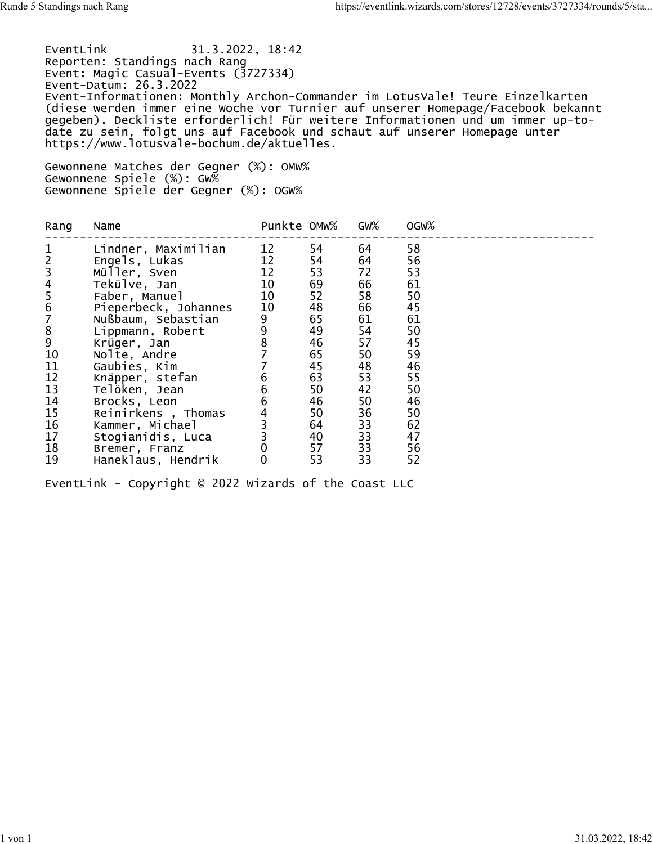EventLink 31.3.2022, 18:42 Reporten: Standings nach Rang Event: Magic Casual-Events (3727334) Event-Datum: 26.3.2022 Event-Informationen: Monthly Archon-Commander im LotusVale! Teure Einzelkarten (diese werden immer eine Woche vor Turnier auf unserer Homepage/Facebook bekannt gegeben). Deckliste erforderlich! Für weitere Informationen und um immer up-todate zu sein, folgt uns auf Facebook und schaut auf unserer Homepage unter https://www.lotusvale-bochum.de/aktuelles.

Gewonnene Matches der Gegner (%): OMW% Gewonnene Spiele (%): GW% Gewonnene Spiele der Gegner (%): OGW%

| Rang                                        | Name                 | Punkte OMW%      |    | $GW\%$ | OGW% |  |
|---------------------------------------------|----------------------|------------------|----|--------|------|--|
| 1                                           | Lindner, Maximilian  | 12               | 54 | 64     | 58   |  |
|                                             | Engels, Lukas        | 12               | 54 | 64     | 56   |  |
|                                             | Müller, Sven         | 12               | 53 | 72     | 53   |  |
|                                             | Tekülve, Jan         | 10               | 69 | 66     | 61   |  |
| 234567                                      | Faber, Manuel        | 10               | 52 | 58     | 50   |  |
|                                             | Pieperbeck, Johannes | 10               | 48 | 66     | 45   |  |
|                                             | Nußbaum, Sebastian   | 9                | 65 | 61     | 61   |  |
| $\begin{array}{c} 8 \\ 9 \\ 10 \end{array}$ | Lippmann, Robert     | $\boldsymbol{9}$ | 49 | 54     | 50   |  |
|                                             | Krüger, Jan          |                  | 46 | 57     | 45   |  |
|                                             | Nolte, Andre         |                  | 65 | 50     | 59   |  |
| $11\,$                                      | Gaubies, Kim         |                  | 45 | 48     | 46   |  |
| 12                                          | Knäpper, stefan      | 6                | 63 | 53     | 55   |  |
| 13                                          | Telöken, Jean        | 6                | 50 | 42     | 50   |  |
| 14                                          | Brocks, Leon         | 6                | 46 | 50     | 46   |  |
| 15                                          | Reinirkens, Thomas   |                  | 50 | 36     | 50   |  |
| 16                                          | Kammer, Michael      | 3                | 64 | 33     | 62   |  |
| 17                                          | Stogianidis, Luca    |                  | 40 | 33     | 47   |  |
| 18                                          | Bremer, Franz        |                  | 57 | 33     | 56   |  |
| 19                                          | Haneklaus, Hendrik   |                  | 53 | 33     | 52   |  |

EventLink - Copyright © 2022 Wizards of the Coast LLC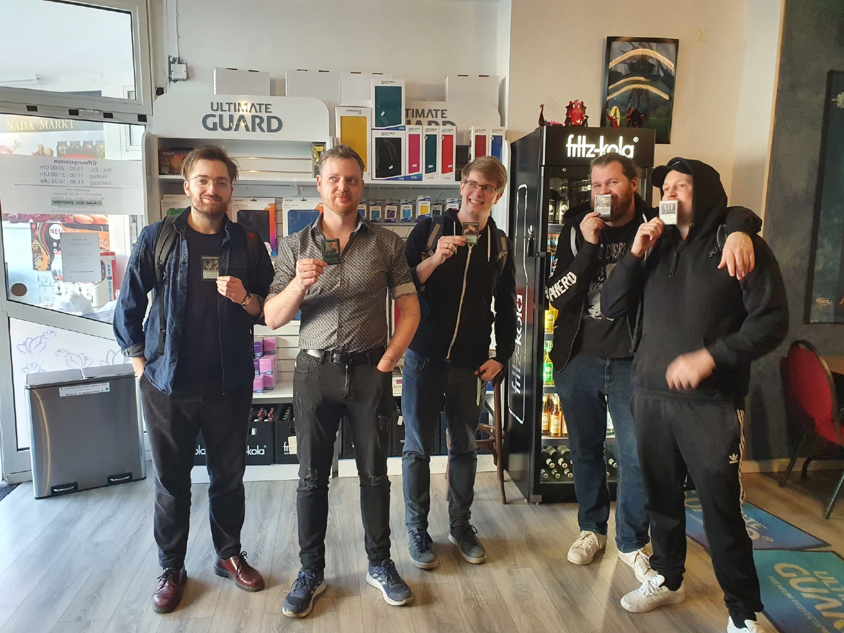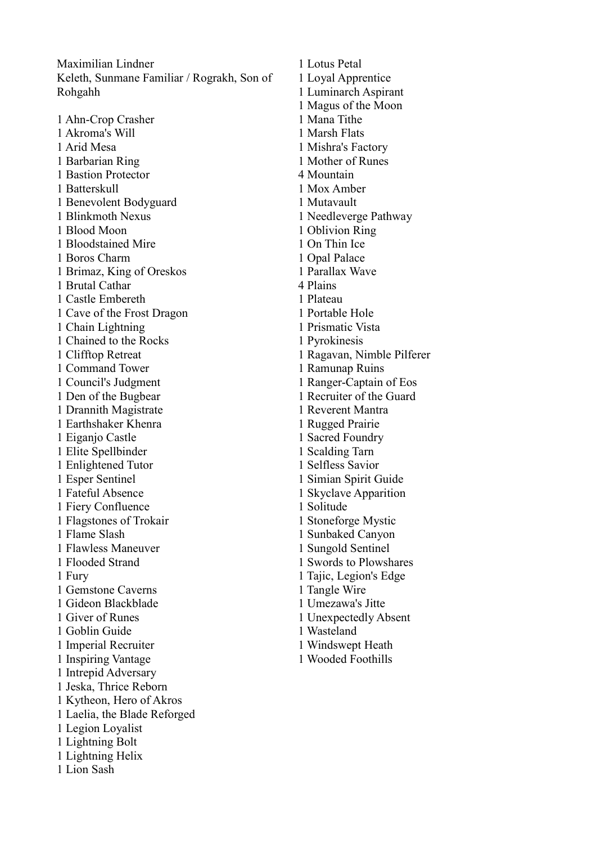Maximilian Lindner Keleth, Sunmane Familiar / Rograkh, Son of Rohgahh

1 Ahn-Crop Crasher 1 Akroma's Will 1 Arid Mesa 1 Barbarian Ring 1 Bastion Protector 1 Batterskull 1 Benevolent Bodyguard 1 Blinkmoth Nexus 1 Blood Moon 1 Bloodstained Mire 1 Boros Charm 1 Brimaz, King of Oreskos 1 Brutal Cathar 1 Castle Embereth 1 Cave of the Frost Dragon 1 Chain Lightning 1 Chained to the Rocks 1 Clifftop Retreat 1 Command Tower 1 Council's Judgment 1 Den of the Bugbear 1 Drannith Magistrate 1 Earthshaker Khenra 1 Eiganjo Castle 1 Elite Spellbinder 1 Enlightened Tutor 1 Esper Sentinel 1 Fateful Absence 1 Fiery Confluence 1 Flagstones of Trokair 1 Flame Slash 1 Flawless Maneuver 1 Flooded Strand 1 Fury 1 Gemstone Caverns 1 Gideon Blackblade 1 Giver of Runes 1 Goblin Guide 1 Imperial Recruiter 1 Inspiring Vantage 1 Intrepid Adversary 1 Jeska, Thrice Reborn 1 Kytheon, Hero of Akros 1 Laelia, the Blade Reforged 1 Legion Loyalist 1 Lightning Bolt 1 Lightning Helix 1 Lion Sash

1 Lotus Petal 1 Loyal Apprentice 1 Luminarch Aspirant 1 Magus of the Moon 1 Mana Tithe 1 Marsh Flats 1 Mishra's Factory 1 Mother of Runes 4 Mountain 1 Mox Amber 1 Mutavault 1 Needleverge Pathway 1 Oblivion Ring 1 On Thin Ice 1 Opal Palace 1 Parallax Wave 4 Plains 1 Plateau 1 Portable Hole 1 Prismatic Vista 1 Pyrokinesis 1 Ragavan, Nimble Pilferer 1 Ramunap Ruins 1 Ranger-Captain of Eos 1 Recruiter of the Guard 1 Reverent Mantra 1 Rugged Prairie 1 Sacred Foundry 1 Scalding Tarn 1 Selfless Savior 1 Simian Spirit Guide 1 Skyclave Apparition 1 Solitude 1 Stoneforge Mystic 1 Sunbaked Canyon 1 Sungold Sentinel 1 Swords to Plowshares 1 Tajic, Legion's Edge 1 Tangle Wire 1 Umezawa's Jitte 1 Unexpectedly Absent 1 Wasteland 1 Windswept Heath 1 Wooded Foothills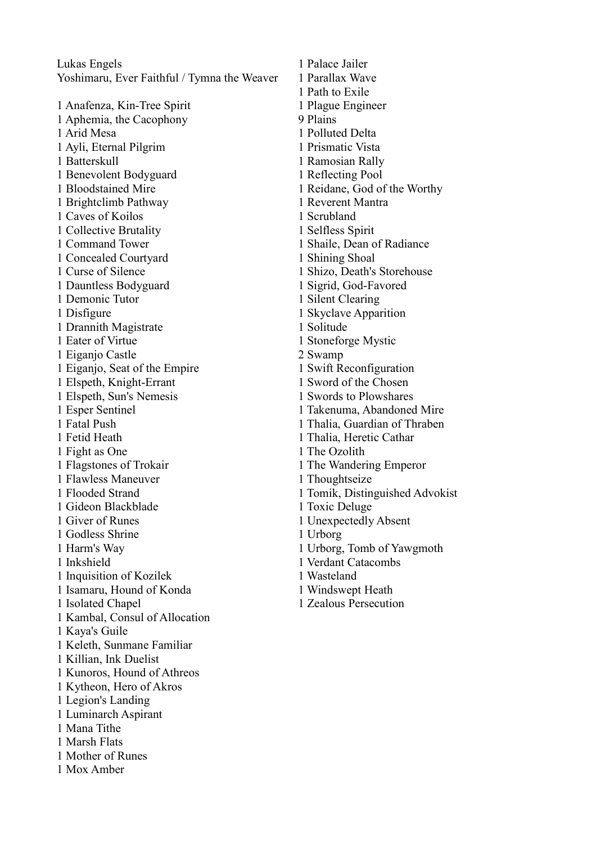Lukas Engels Yoshimaru, Ever Faithful / Tymna the Weaver 1 Anafenza, Kin-Tree Spirit 1 Aphemia, the Cacophony 1 Arid Mesa 1 Ayli, Eternal Pilgrim 1 Batterskull 1 Benevolent Bodyguard 1 Bloodstained Mire 1 Brightclimb Pathway 1 Caves of Koilos 1 Collective Brutality 1 Command Tower 1 Concealed Courtyard 1 Curse of Silence 1 Dauntless Bodyguard 1 Demonic Tutor 1 Disfigure 1 Drannith Magistrate 1 Eater of Virtue 1 Eiganjo Castle 1 Eiganjo, Seat of the Empire 1 Elspeth, Knight-Errant 1 Elspeth, Sun's Nemesis 1 Esper Sentinel 1 Fatal Push 1 Fetid Heath 1 Fight as One 1 Flagstones of Trokair 1 Flawless Maneuver 1 Flooded Strand 1 Gideon Blackblade 1 Giver of Runes 1 Godless Shrine 1 Harm's Way 1 Inkshield 1 Inquisition of Kozilek 1 Isamaru, Hound of Konda 1 Isolated Chapel 1 Kambal, Consul of Allocation 1 Kaya's Guile 1 Keleth, Sunmane Familiar 1 Killian, Ink Duelist 1 Kunoros, Hound of Athreos 1 Kytheon, Hero of Akros 1 Legion's Landing 1 Luminarch Aspirant 1 Mana Tithe 1 Marsh Flats 1 Mother of Runes 1 Mox Amber

1 Palace Jailer 1 Parallax Wave 1 Path to Exile 1 Plague Engineer 9 Plains 1 Polluted Delta 1 Prismatic Vista 1 Ramosian Rally 1 Reflecting Pool 1 Reidane, God of the Worthy 1 Reverent Mantra 1 Scrubland 1 Selfless Spirit 1 Shaile, Dean of Radiance 1 Shining Shoal 1 Shizo, Death's Storehouse 1 Sigrid, God-Favored 1 Silent Clearing 1 Skyclave Apparition 1 Solitude 1 Stoneforge Mystic 2 Swamp 1 Swift Reconfiguration 1 Sword of the Chosen 1 Swords to Plowshares 1 Takenuma, Abandoned Mire 1 Thalia, Guardian of Thraben 1 Thalia, Heretic Cathar 1 The Ozolith 1 The Wandering Emperor 1 Thoughtseize 1 Tomik, Distinguished Advokist 1 Toxic Deluge 1 Unexpectedly Absent 1 Urborg 1 Urborg, Tomb of Yawgmoth 1 Verdant Catacombs 1 Wasteland 1 Windswept Heath

1 Zealous Persecution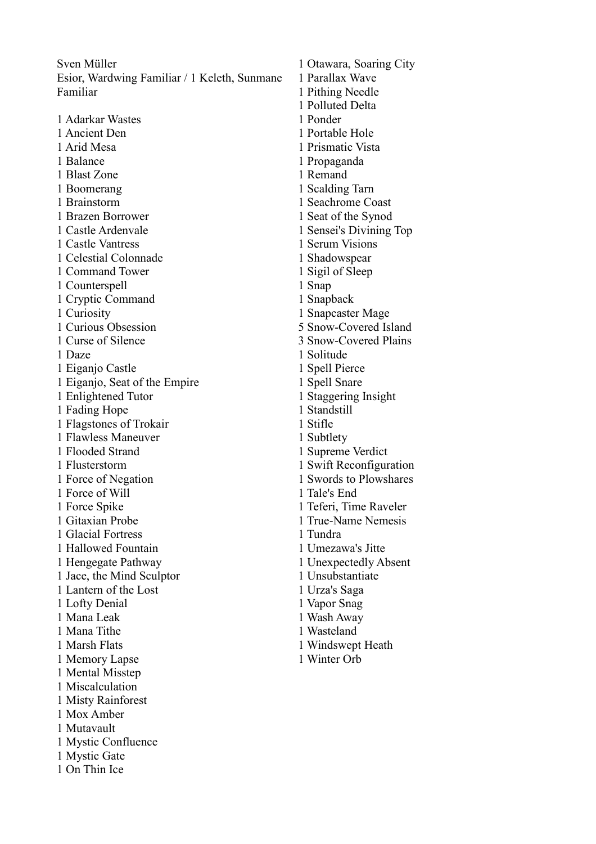| Sven Müller                                  | 1 Otawara, Soaring City |
|----------------------------------------------|-------------------------|
| Esior, Wardwing Familiar / 1 Keleth, Sunmane | 1 Parallax Wave         |
| Familiar                                     | 1 Pithing Needle        |
|                                              | 1 Polluted Delta        |
| 1 Adarkar Wastes                             | 1 Ponder                |
| 1 Ancient Den                                | 1 Portable Hole         |
| 1 Arid Mesa                                  | 1 Prismatic Vista       |
| 1 Balance                                    | 1 Propaganda            |
| 1 Blast Zone                                 | 1 Remand                |
| 1 Boomerang                                  | 1 Scalding Tarn         |
| 1 Brainstorm                                 | 1 Seachrome Coast       |
| 1 Brazen Borrower                            | 1 Seat of the Synod     |
| 1 Castle Ardenvale                           | 1 Sensei's Divining Top |
| 1 Castle Vantress                            | 1 Serum Visions         |
| 1 Celestial Colonnade                        | 1 Shadowspear           |
| 1 Command Tower                              | 1 Sigil of Sleep        |
| 1 Counterspell                               | 1 Snap                  |
| 1 Cryptic Command                            | 1 Snapback              |
| 1 Curiosity                                  | 1 Snapcaster Mage       |
| 1 Curious Obsession                          | 5 Snow-Covered Island   |
| 1 Curse of Silence                           | 3 Snow-Covered Plains   |
| 1 Daze                                       | 1 Solitude              |
| 1 Eiganjo Castle                             | 1 Spell Pierce          |
| 1 Eiganjo, Seat of the Empire                | 1 Spell Snare           |
| 1 Enlightened Tutor                          | 1 Staggering Insight    |
| 1 Fading Hope                                | 1 Standstill            |
| 1 Flagstones of Trokair                      | 1 Stifle                |
| 1 Flawless Maneuver                          | 1 Subtlety              |
| 1 Flooded Strand                             | 1 Supreme Verdict       |
| 1 Flusterstorm                               | 1 Swift Reconfiguration |
| 1 Force of Negation                          | 1 Swords to Plowshares  |
| 1 Force of Will                              | 1 Tale's End            |
| 1 Force Spike                                | 1 Teferi, Time Raveler  |
| 1 Gitaxian Probe                             | 1 True-Name Nemesis     |
| 1 Glacial Fortress                           | 1 Tundra                |
| 1 Hallowed Fountain                          | 1 Umezawa's Jitte       |
| 1 Hengegate Pathway                          | 1 Unexpectedly Absent   |
| 1 Jace, the Mind Sculptor                    | 1 Unsubstantiate        |
| 1 Lantern of the Lost                        | 1 Urza's Saga           |
| 1 Lofty Denial                               | 1 Vapor Snag            |
| 1 Mana Leak                                  | 1 Wash Away             |
| 1 Mana Tithe                                 | 1 Wasteland             |
| 1 Marsh Flats                                | 1 Windswept Heath       |
| 1 Memory Lapse                               | 1 Winter Orb            |
| 1 Mental Misstep                             |                         |
| 1 Miscalculation                             |                         |
| 1 Misty Rainforest                           |                         |
| 1 Mox Amber                                  |                         |
| 1 Mutavault                                  |                         |
| 1 Mystic Confluence                          |                         |
| 1 Mystic Gate                                |                         |
| 1 On Thin Ice                                |                         |
|                                              |                         |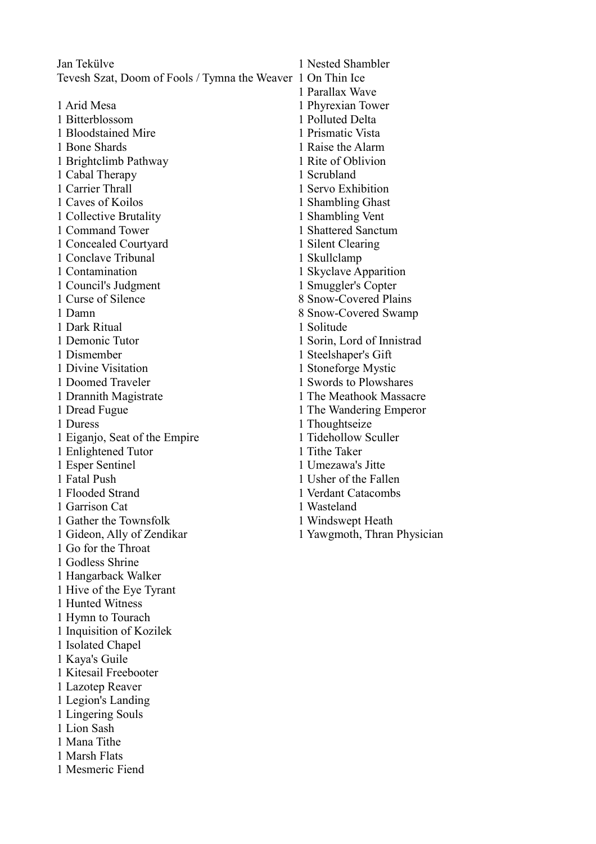| Jan Tekülve                                                 | 1 Nested Shambler                  |
|-------------------------------------------------------------|------------------------------------|
| Tevesh Szat, Doom of Fools / Tymna the Weaver 1 On Thin Ice |                                    |
|                                                             | 1 Parallax Wave                    |
| 1 Arid Mesa                                                 | 1 Phyrexian Tower                  |
| 1 Bitterblossom                                             | 1 Polluted Delta                   |
| 1 Bloodstained Mire                                         | 1 Prismatic Vista                  |
| 1 Bone Shards                                               | 1 Raise the Alarm                  |
| 1 Brightclimb Pathway                                       | 1 Rite of Oblivion                 |
| 1 Cabal Therapy                                             | 1 Scrubland                        |
| 1 Carrier Thrall                                            | 1 Servo Exhibition                 |
| 1 Caves of Koilos                                           | 1 Shambling Ghast                  |
| 1 Collective Brutality                                      | 1 Shambling Vent                   |
| 1 Command Tower                                             | 1 Shattered Sanctum                |
| 1 Concealed Courtyard                                       | 1 Silent Clearing                  |
| 1 Conclave Tribunal                                         | 1 Skullclamp                       |
| 1 Contamination                                             | 1 Skyclave Apparition              |
| 1 Council's Judgment                                        | 1 Smuggler's Copter                |
| 1 Curse of Silence                                          | 8 Snow-Covered Plains              |
| 1 Damn                                                      |                                    |
| 1 Dark Ritual                                               | 8 Snow-Covered Swamp<br>1 Solitude |
| 1 Demonic Tutor                                             |                                    |
| 1 Dismember                                                 | 1 Sorin, Lord of Innistrad         |
| 1 Divine Visitation                                         | 1 Steelshaper's Gift               |
|                                                             | 1 Stoneforge Mystic                |
| 1 Doomed Traveler                                           | 1 Swords to Plowshares             |
| 1 Drannith Magistrate                                       | 1 The Meathook Massacre            |
| 1 Dread Fugue                                               | 1 The Wandering Emperor            |
| 1 Duress                                                    | 1 Thoughtseize                     |
| 1 Eiganjo, Seat of the Empire                               | 1 Tidehollow Sculler               |
| 1 Enlightened Tutor                                         | 1 Tithe Taker                      |
| 1 Esper Sentinel                                            | 1 Umezawa's Jitte                  |
| 1 Fatal Push                                                | 1 Usher of the Fallen              |
| 1 Flooded Strand                                            | 1 Verdant Catacombs                |
| 1 Garrison Cat                                              | 1 Wasteland                        |
| 1 Gather the Townsfolk                                      | 1 Windswept Heath                  |
| 1 Gideon, Ally of Zendikar                                  | 1 Yawgmoth, Thran Physician        |
| 1 Go for the Throat                                         |                                    |
| 1 Godless Shrine                                            |                                    |
| 1 Hangarback Walker                                         |                                    |
| 1 Hive of the Eye Tyrant                                    |                                    |
| 1 Hunted Witness                                            |                                    |
| 1 Hymn to Tourach                                           |                                    |
| 1 Inquisition of Kozilek                                    |                                    |
| 1 Isolated Chapel                                           |                                    |
| 1 Kaya's Guile                                              |                                    |
| 1 Kitesail Freebooter                                       |                                    |
| 1 Lazotep Reaver                                            |                                    |
| 1 Legion's Landing                                          |                                    |
| 1 Lingering Souls                                           |                                    |
| 1 Lion Sash                                                 |                                    |
| 1 Mana Tithe                                                |                                    |
| 1 Marsh Flats                                               |                                    |

1 Mesmeric Fiend